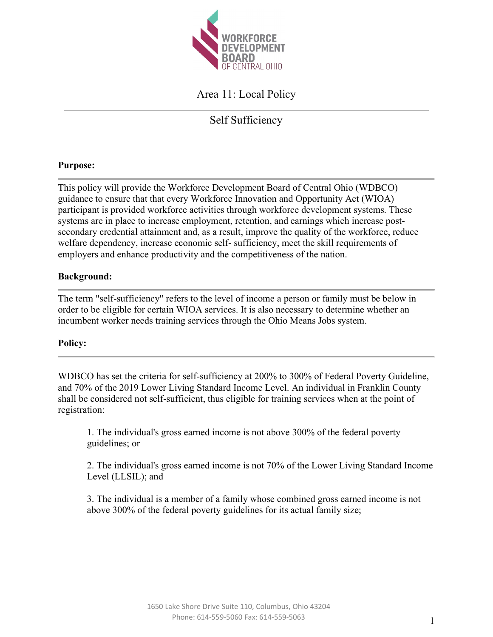

# Area 11: Local Policy

Self Sufficiency

# **Purpose:**

This policy will provide the Workforce Development Board of Central Ohio (WDBCO) guidance to ensure that that every Workforce Innovation and Opportunity Act (WIOA) participant is provided workforce activities through workforce development systems. These systems are in place to increase employment, retention, and earnings which increase postsecondary credential attainment and, as a result, improve the quality of the workforce, reduce welfare dependency, increase economic self- sufficiency, meet the skill requirements of employers and enhance productivity and the competitiveness of the nation.

# **Background:**

The term "self-sufficiency" refers to the level of income a person or family must be below in order to be eligible for certain WIOA services. It is also necessary to determine whether an incumbent worker needs training services through the Ohio Means Jobs system.

# **Policy:**

WDBCO has set the criteria for self-sufficiency at 200% to 300% of Federal Poverty Guideline, and 70% of the 2019 Lower Living Standard Income Level. An individual in Franklin County shall be considered not self-sufficient, thus eligible for training services when at the point of registration:

1. The individual's gross earned income is not above 300% of the federal poverty guidelines; or

2. The individual's gross earned income is not 70% of the Lower Living Standard Income Level (LLSIL); and

3. The individual is a member of a family whose combined gross earned income is not above 300% of the federal poverty guidelines for its actual family size;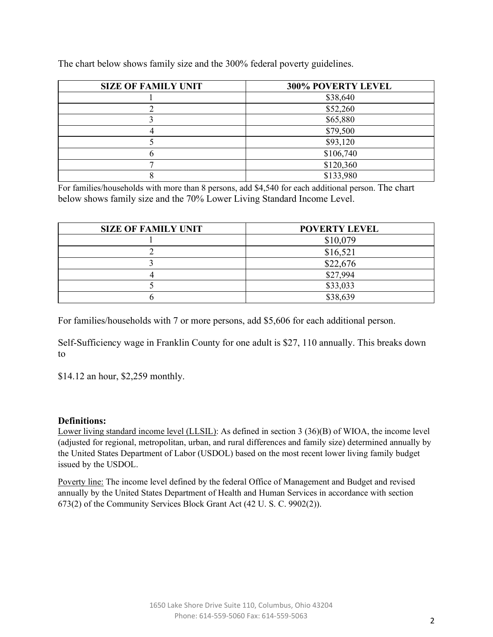| <b>SIZE OF FAMILY UNIT</b> | 300% POVERTY LEVEL |  |  |
|----------------------------|--------------------|--|--|
|                            | \$38,640           |  |  |
|                            | \$52,260           |  |  |
|                            | \$65,880           |  |  |
|                            | \$79,500           |  |  |
|                            | \$93,120           |  |  |
|                            | \$106,740          |  |  |
|                            | \$120,360          |  |  |
|                            | \$133,980          |  |  |

The chart below shows family size and the 300% federal poverty guidelines.

For families/households with more than 8 persons, add \$4,540 for each additional person. The chart below shows family size and the 70% Lower Living Standard Income Level.

| <b>SIZE OF FAMILY UNIT</b> | <b>POVERTY LEVEL</b> |  |
|----------------------------|----------------------|--|
|                            | \$10,079             |  |
|                            | \$16,521             |  |
|                            | \$22,676             |  |
|                            | \$27,994             |  |
|                            | \$33,033             |  |
|                            | \$38,639             |  |

For families/households with 7 or more persons, add \$5,606 for each additional person.

Self-Sufficiency wage in Franklin County for one adult is \$27, 110 annually. This breaks down to

\$14.12 an hour, \$2,259 monthly.

#### **Definitions:**

Lower living standard income level (LLSIL): As defined in section 3 (36)(B) of WIOA, the income level (adjusted for regional, metropolitan, urban, and rural differences and family size) determined annually by the United States Department of Labor (USDOL) based on the most recent lower living family budget issued by the USDOL.

Poverty line: The income level defined by the federal Office of Management and Budget and revised annually by the United States Department of Health and Human Services in accordance with section 673(2) of the Community Services Block Grant Act (42 U. S. C. 9902(2)).